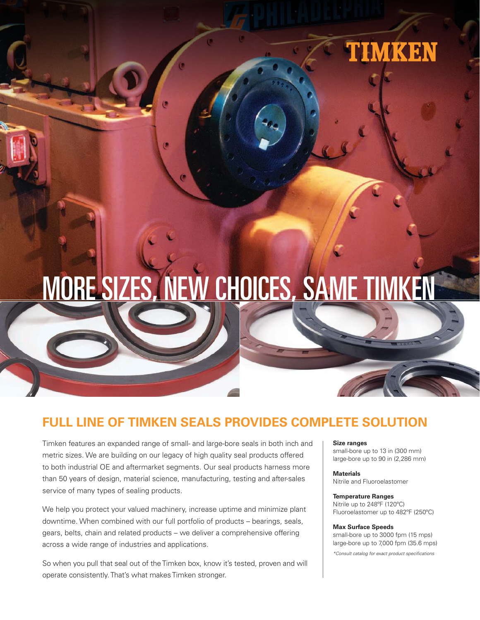

# MORE SIZES, NEW CHOICES, SAME TIMKEN

# **FULL LINE OF TIMKEN SEALS PROVIDES COMPLETE SOLUTION**

Timken features an expanded range of small- and large-bore seals in both inch and metric sizes. We are building on our legacy of high quality seal products offered to both industrial OE and aftermarket segments. Our seal products harness more than 50 years of design, material science, manufacturing, testing and after-sales service of many types of sealing products.

We help you protect your valued machinery, increase uptime and minimize plant downtime. When combined with our full portfolio of products – bearings, seals, gears, belts, chain and related products – we deliver a comprehensive offering across a wide range of industries and applications.

So when you pull that seal out of the Timken box, know it's tested, proven and will operate consistently. That's what makes Timken stronger.

#### **Size ranges**

small-bore up to 13 in (300 mm) large-bore up to 90 in (2,286 mm)

**Materials** Nitrile and Fluoroelastomer

#### **Temperature Ranges**

Nitrile up to 248ºF (120ºC) Fluoroelastomer up to 482ºF (250ºC)

#### **Max Surface Speeds**

small-bore up to 3000 fpm (15 mps) large-bore up to 7,000 fpm (35.6 mps)

\*Consult catalog for exact product specifications